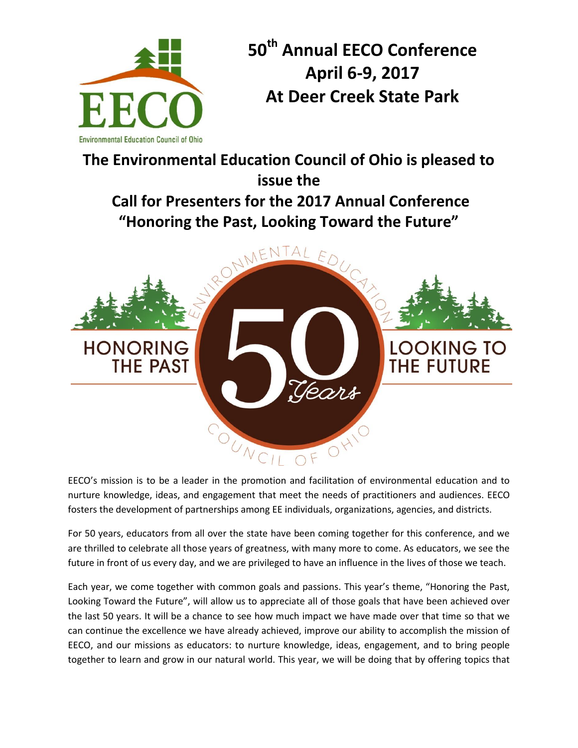

**HONORING** 

**THE PAST** 

**50th Annual EECO Conference April 6-9, 2017 At Deer Creek State Park** 

**The Environmental Education Council of Ohio is pleased to issue the Call for Presenters for the 2017 Annual Conference "Honoring the Past, Looking Toward the Future"** NMENT  $ED$ 



OUNCIL EECO's mission is to be a leader in the promotion and facilitation of environmental education and to nurture knowledge, ideas, and engagement that meet the needs of practitioners and audiences. EECO fosters the development of partnerships among EE individuals, organizations, agencies, and districts.

Jears

For 50 years, educators from all over the state have been coming together for this conference, and we are thrilled to celebrate all those years of greatness, with many more to come. As educators, we see the future in front of us every day, and we are privileged to have an influence in the lives of those we teach.

Each year, we come together with common goals and passions. This year's theme, "Honoring the Past, Looking Toward the Future", will allow us to appreciate all of those goals that have been achieved over the last 50 years. It will be a chance to see how much impact we have made over that time so that we can continue the excellence we have already achieved, improve our ability to accomplish the mission of EECO, and our missions as educators: to nurture knowledge, ideas, engagement, and to bring people together to learn and grow in our natural world. This year, we will be doing that by offering topics that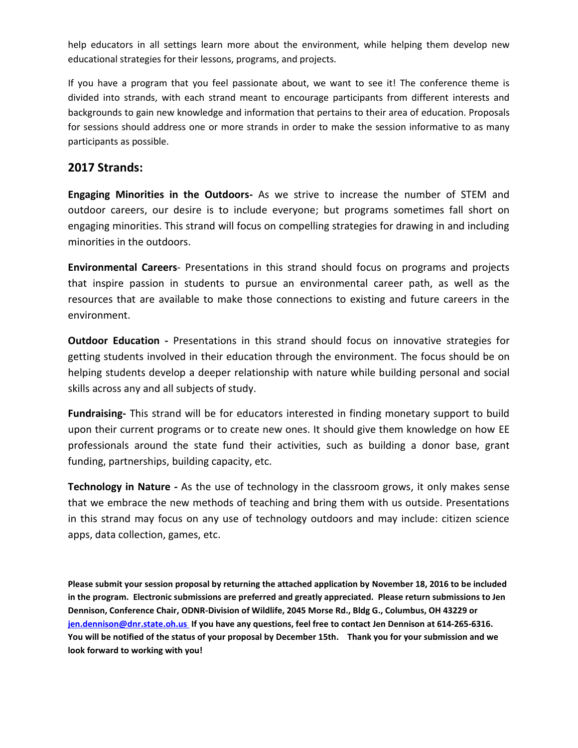help educators in all settings learn more about the environment, while helping them develop new educational strategies for their lessons, programs, and projects.

If you have a program that you feel passionate about, we want to see it! The conference theme is divided into strands, with each strand meant to encourage participants from different interests and backgrounds to gain new knowledge and information that pertains to their area of education. Proposals for sessions should address one or more strands in order to make the session informative to as many participants as possible.

## **2017 Strands:**

**Engaging Minorities in the Outdoors-** As we strive to increase the number of STEM and outdoor careers, our desire is to include everyone; but programs sometimes fall short on engaging minorities. This strand will focus on compelling strategies for drawing in and including minorities in the outdoors.

**Environmental Careers**- Presentations in this strand should focus on programs and projects that inspire passion in students to pursue an environmental career path, as well as the resources that are available to make those connections to existing and future careers in the environment.

**Outdoor Education -** Presentations in this strand should focus on innovative strategies for getting students involved in their education through the environment. The focus should be on helping students develop a deeper relationship with nature while building personal and social skills across any and all subjects of study.

**Fundraising-** This strand will be for educators interested in finding monetary support to build upon their current programs or to create new ones. It should give them knowledge on how EE professionals around the state fund their activities, such as building a donor base, grant funding, partnerships, building capacity, etc.

**Technology in Nature** - As the use of technology in the classroom grows, it only makes sense that we embrace the new methods of teaching and bring them with us outside. Presentations in this strand may focus on any use of technology outdoors and may include: citizen science apps, data collection, games, etc.

**Please submit your session proposal by returning the attached application by November 18, 2016 to be included in the program. Electronic submissions are preferred and greatly appreciated. Please return submissions to Jen Dennison, Conference Chair, ODNR-Division of Wildlife, 2045 Morse Rd., Bldg G., Columbus, OH 43229 or [jen.dennison@dnr.state.oh.us](mailto:jen.dennison@dnr.state.oh.us) If you have any questions, feel free to contact Jen Dennison at 614-265-6316. You will be notified of the status of your proposal by December 15th. Thank you for your submission and we look forward to working with you!**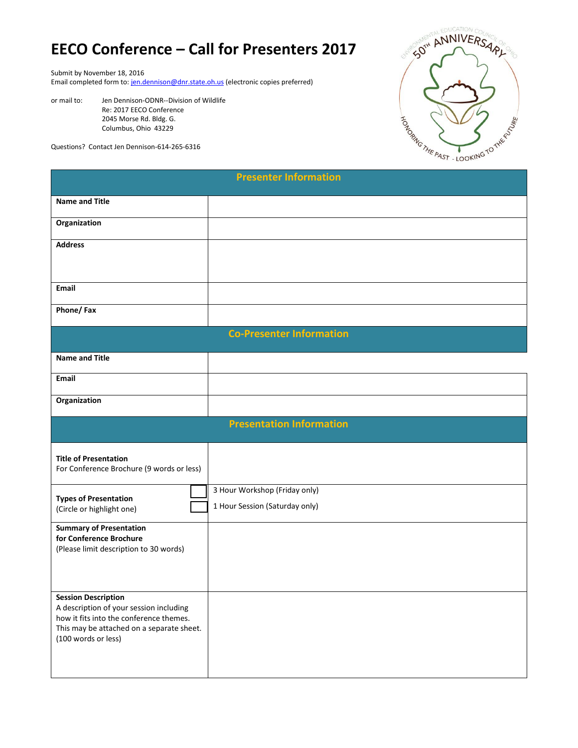## **EECO Conference – Call for Presenters 2017**

Submit by November 18, 2016

Email completed form to: [jen.dennison@dnr.state.oh.us \(](mailto:jen.dennison@dnr.state.oh.us)electronic copies preferred)

or mail to: Jen Dennison-ODNR--Division of Wildlife Re: 2017 EECO Conference 2045 Morse Rd. Bldg. G. Columbus, Ohio 43229

Questions? Contact Jen Dennison-614-265-6316



| <b>Presenter Information</b>                                                                                                                           |                                |  |
|--------------------------------------------------------------------------------------------------------------------------------------------------------|--------------------------------|--|
| <b>Name and Title</b>                                                                                                                                  |                                |  |
| Organization                                                                                                                                           |                                |  |
| <b>Address</b>                                                                                                                                         |                                |  |
|                                                                                                                                                        |                                |  |
| <b>Email</b>                                                                                                                                           |                                |  |
| Phone/Fax                                                                                                                                              |                                |  |
| <b>Co-Presenter Information</b>                                                                                                                        |                                |  |
| <b>Name and Title</b>                                                                                                                                  |                                |  |
| <b>Email</b>                                                                                                                                           |                                |  |
| Organization                                                                                                                                           |                                |  |
| <b>Presentation Information</b>                                                                                                                        |                                |  |
| <b>Title of Presentation</b><br>For Conference Brochure (9 words or less)                                                                              |                                |  |
| <b>Types of Presentation</b>                                                                                                                           | 3 Hour Workshop (Friday only)  |  |
| (Circle or highlight one)                                                                                                                              | 1 Hour Session (Saturday only) |  |
| <b>Summary of Presentation</b><br>for Conference Brochure<br>(Please limit description to 30 words)                                                    |                                |  |
| <b>Session Description</b>                                                                                                                             |                                |  |
| A description of your session including<br>how it fits into the conference themes.<br>This may be attached on a separate sheet.<br>(100 words or less) |                                |  |
|                                                                                                                                                        |                                |  |